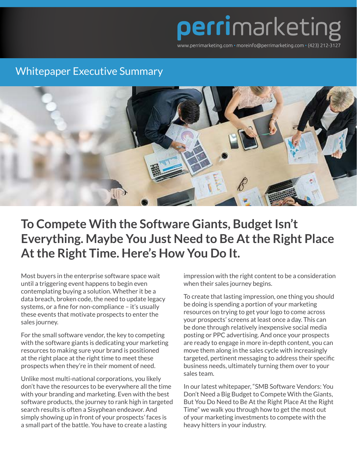

## Whitepaper Executive Summary



## **To Compete With the Software Giants, Budget Isn't Everything. Maybe You Just Need to Be At the Right Place At the Right Time. Here's How You Do It.**

Most buyers in the enterprise software space wait until a triggering event happens to begin even contemplating buying a solution. Whether it be a data breach, broken code, the need to update legacy systems, or a fine for non-compliance - it's usually these events that motivate prospects to enter the sales journey.

For the small software vendor, the key to competing with the software giants is dedicating your marketing resources to making sure your brand is positioned at the right place at the right time to meet these prospects when they're in their moment of need.

Unlike most multi-national corporations, you likely don't have the resources to be everywhere all the time with your branding and marketing. Even with the best software products, the journey to rank high in targeted search results is often a Sisyphean endeavor. And simply showing up in front of your prospects' faces is a small part of the battle. You have to create a lasting

impression with the right content to be a consideration when their sales journey begins.

To create that lasting impression, one thing you should be doing is spending a portion of your marketing resources on trying to get your logo to come across your prospects' screens at least once a day. This can be done through relatively inexpensive social media posting or PPC advertising. And once your prospects are ready to engage in more in-depth content, you can move them along in the sales cycle with increasingly targeted, pertinent messaging to address their specific business needs, ultimately turning them over to your sales team.

In our latest whitepaper, "SMB Software Vendors: You Don't Need a Big Budget to Compete With the Giants, But You Do Need to Be At the Right Place At the Right Time" we walk you through how to get the most out of your marketing investments to compete with the heavy hitters in your industry.